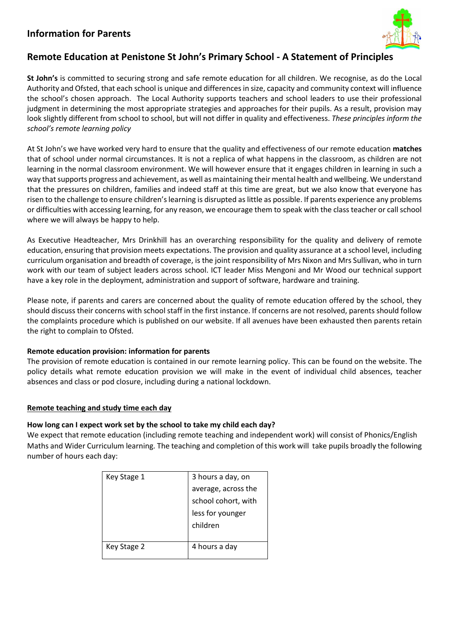# **Information for Parents**



# **Remote Education at Penistone St John's Primary School - A Statement of Principles**

**St John's** is committed to securing strong and safe remote education for all children. We recognise, as do the Local Authority and Ofsted, that each school is unique and differences in size, capacity and community context will influence the school's chosen approach. The Local Authority supports teachers and school leaders to use their professional judgment in determining the most appropriate strategies and approaches for their pupils. As a result, provision may look slightly different from school to school, but will not differ in quality and effectiveness. *These principles inform the school's remote learning policy*

At St John's we have worked very hard to ensure that the quality and effectiveness of our remote education **matches** that of school under normal circumstances. It is not a replica of what happens in the classroom, as children are not learning in the normal classroom environment. We will however ensure that it engages children in learning in such a way that supports progress and achievement, as well as maintaining their mental health and wellbeing. We understand that the pressures on children, families and indeed staff at this time are great, but we also know that everyone has risen to the challenge to ensure children's learning is disrupted as little as possible. If parents experience any problems or difficulties with accessing learning, for any reason, we encourage them to speak with the class teacher or call school where we will always be happy to help.

As Executive Headteacher, Mrs Drinkhill has an overarching responsibility for the quality and delivery of remote education, ensuring that provision meets expectations. The provision and quality assurance at a school level, including curriculum organisation and breadth of coverage, is the joint responsibility of Mrs Nixon and Mrs Sullivan, who in turn work with our team of subject leaders across school. ICT leader Miss Mengoni and Mr Wood our technical support have a key role in the deployment, administration and support of software, hardware and training.

Please note, if parents and carers are concerned about the quality of remote education offered by the school, they should discuss their concerns with school staff in the first instance. If concerns are not resolved, parents should follow the complaints procedure which is published on our website. If all avenues have been exhausted then parents retain the right to complain to Ofsted.

# **Remote education provision: information for parents**

The provision of remote education is contained in our remote learning policy. This can be found on the website. The policy details what remote education provision we will make in the event of individual child absences, teacher absences and class or pod closure, including during a national lockdown.

# **Remote teaching and study time each day**

# **How long can I expect work set by the school to take my child each day?**

We expect that remote education (including remote teaching and independent work) will consist of Phonics/English Maths and Wider Curriculum learning. The teaching and completion of this work will take pupils broadly the following number of hours each day:

| Key Stage 1 | 3 hours a day, on   |
|-------------|---------------------|
|             | average, across the |
|             | school cohort, with |
|             | less for younger    |
|             | children            |
|             |                     |
| Key Stage 2 | 4 hours a day       |
|             |                     |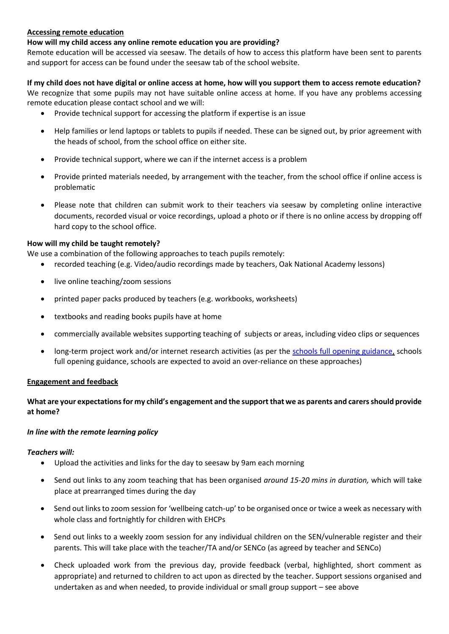#### **Accessing remote education**

#### **How will my child access any online remote education you are providing?**

Remote education will be accessed via seesaw. The details of how to access this platform have been sent to parents and support for access can be found under the seesaw tab of the school website.

#### **If my child does not have digital or online access at home, how will you support them to access remote education?**

We recognize that some pupils may not have suitable online access at home. If you have any problems accessing remote education please contact school and we will:

- Provide technical support for accessing the platform if expertise is an issue
- Help families or lend laptops or tablets to pupils if needed. These can be signed out, by prior agreement with the heads of school, from the school office on either site.
- Provide technical support, where we can if the internet access is a problem
- Provide printed materials needed, by arrangement with the teacher, from the school office if online access is problematic
- Please note that children can submit work to their teachers via seesaw by completing online interactive documents, recorded visual or voice recordings, upload a photo or if there is no online access by dropping off hard copy to the school office.

## **How will my child be taught remotely?**

We use a combination of the following approaches to teach pupils remotely:

- recorded teaching (e.g. Video/audio recordings made by teachers, Oak National Academy lessons)
- live online teaching/zoom sessions
- printed paper packs produced by teachers (e.g. workbooks, worksheets)
- textbooks and reading books pupils have at home
- commercially available websites supporting teaching of subjects or areas, including video clips or sequences
- long-term project work and/or internet research activities (as per the [schools full opening guidance,](https://www.gov.uk/government/publications/actions-for-schools-during-the-coronavirus-outbreak/guidance-for-full-opening-schools#res) schools full opening guidance, schools are expected to avoid an over-reliance on these approaches)

## **Engagement and feedback**

## **What are your expectations for my child's engagement and the support that we as parents and carers should provide at home?**

## *In line with the remote learning policy*

## *Teachers will:*

- Upload the activities and links for the day to seesaw by 9am each morning
- Send out links to any zoom teaching that has been organised *around 15-20 mins in duration,* which will take place at prearranged times during the day
- Send out links to zoom session for 'wellbeing catch-up' to be organised once or twice a week as necessary with whole class and fortnightly for children with EHCPs
- Send out links to a weekly zoom session for any individual children on the SEN/vulnerable register and their parents. This will take place with the teacher/TA and/or SENCo (as agreed by teacher and SENCo)
- Check uploaded work from the previous day, provide feedback (verbal, highlighted, short comment as appropriate) and returned to children to act upon as directed by the teacher. Support sessions organised and undertaken as and when needed, to provide individual or small group support – see above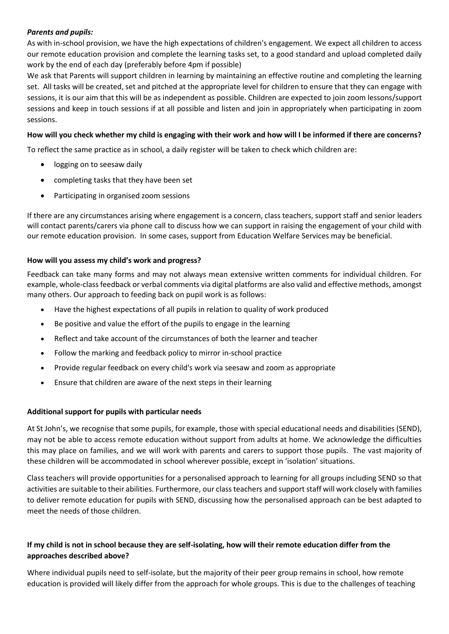## *Parents and pupils:*

As with in-school provision, we have the high expectations of children's engagement. We expect all children to access our remote education provision and complete the learning tasks set, to a good standard and upload completed daily work by the end of each day (preferably before 4pm if possible)

We ask that Parents will support children in learning by maintaining an effective routine and completing the learning set. All tasks will be created, set and pitched at the appropriate level for children to ensure that they can engage with sessions, it is our aim that this will be as independent as possible. Children are expected to join zoom lessons/support sessions and keep in touch sessions if at all possible and listen and join in appropriately when participating in zoom sessions.

## **How will you check whether my child is engaging with their work and how will I be informed if there are concerns?**

To reflect the same practice as in school, a daily register will be taken to check which children are:

- logging on to seesaw daily
- completing tasks that they have been set
- Participating in organised zoom sessions

If there are any circumstances arising where engagement is a concern, class teachers, support staff and senior leaders will contact parents/carers via phone call to discuss how we can support in raising the engagement of your child with our remote education provision. In some cases, support from Education Welfare Services may be beneficial.

## **How will you assess my child's work and progress?**

Feedback can take many forms and may not always mean extensive written comments for individual children. For example, whole-class feedback or verbal comments via digital platforms are also valid and effective methods, amongst many others. Our approach to feeding back on pupil work is as follows:

- Have the highest expectations of all pupils in relation to quality of work produced
- Be positive and value the effort of the pupils to engage in the learning
- Reflect and take account of the circumstances of both the learner and teacher
- Follow the marking and feedback policy to mirror in-school practice
- Provide regular feedback on every child's work via seesaw and zoom as appropriate
- Ensure that children are aware of the next steps in their learning

## **Additional support for pupils with particular needs**

At St John's, we recognise that some pupils, for example, those with special educational needs and disabilities (SEND), may not be able to access remote education without support from adults at home. We acknowledge the difficulties this may place on families, and we will work with parents and carers to support those pupils. The vast majority of these children will be accommodated in school wherever possible, except in 'isolation' situations.

Class teachers will provide opportunities for a personalised approach to learning for all groups including SEND so that activities are suitable to their abilities. Furthermore, our class teachers and support staff will work closely with families to deliver remote education for pupils with SEND, discussing how the personalised approach can be best adapted to meet the needs of those children.

## **If my child is not in school because they are self-isolating, how will their remote education differ from the approaches described above?**

Where individual pupils need to self-isolate, but the majority of their peer group remains in school, how remote education is provided will likely differ from the approach for whole groups. This is due to the challenges of teaching